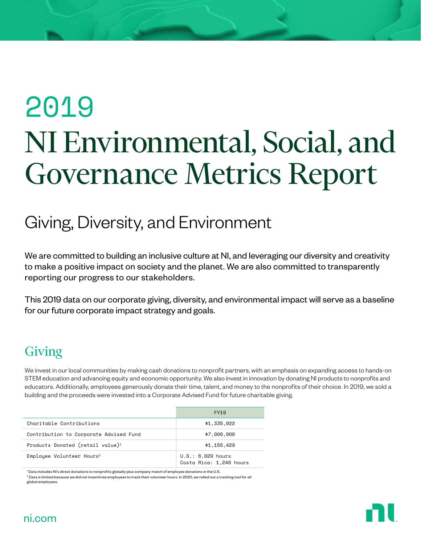# 2019 NI Environmental, Social, and Governance Metrics Report

## Giving, Diversity, and Environment

We are committed to building an inclusive culture at NI, and leveraging our diversity and creativity to make a positive impact on society and the planet. We are also committed to transparently reporting our progress to our stakeholders.

This 2019 data on our corporate giving, diversity, and environmental impact will serve as a baseline for our future corporate impact strategy and goals.

## Giving

We invest in our local communities by making cash donations to nonprofit partners, with an emphasis on expanding access to hands-on STEM education and advancing equity and economic opportunity. We also invest in innovation by donating NI products to nonprofits and educators. Additionally, employees generously donate their time, talent, and money to the nonprofits of their choice. In 2019, we sold a building and the proceeds were invested into a Corporate Advised Fund for future charitable giving.

|                                              | FY19                                         |
|----------------------------------------------|----------------------------------------------|
| Charitable Contributions                     | \$1,335,022                                  |
| Contribution to Corporate Advised Fund       | \$7,000,000                                  |
| Products Donated (retail value) <sup>1</sup> | \$1,155,429                                  |
| Employee Volunteer Hours <sup>2</sup>        | U.S.: 6,029 hours<br>Costa Rica: 1,240 hours |

1 Data includes NI's direct donations to nonprofits globally plus company match of employee donations in the U.S.  $^2$  Data is limited because we did not incentivize employees to track their volunteer hours. In 2020, we rolled out a tracking tool for all global employees.

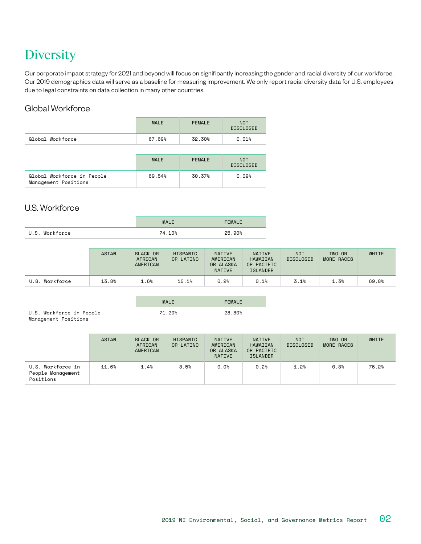## **Diversity**

Our corporate impact strategy for 2021 and beyond will focus on significantly increasing the gender and racial diversity of our workforce. Our 2019 demographics data will serve as a baseline for measuring improvement. We only report racial diversity data for U.S. employees due to legal constraints on data collection in many other countries.

### Global Workforce

| <b>MALE</b> | <b>FEMALE</b> | <b>NOT</b><br><b>DISCLOSED</b> |
|-------------|---------------|--------------------------------|
| 67.69%      | 32.30%        | 0.01%                          |
|             |               |                                |
| <b>MALE</b> | <b>FEMALE</b> | <b>NOT</b><br><b>DISCLOSED</b> |
| 69.54%      | 30.37%        | 0.09%                          |
|             |               |                                |

#### U.S. Workforce

|                | <b>MALE</b> | <b>FEMALE</b> |
|----------------|-------------|---------------|
| U.S. Workforce | 74.10%      | 25.90%        |

|                | <b>ASIAN</b> | <b>BLACK OR</b><br>AFRICAN<br>AMERICAN | HISPANIC<br>OR LATINO | <b>NATIVE</b><br>AMERICAN<br>OR ALASKA<br><b>NATIVE</b> | <b>NATIVE</b><br>HAWAIIAN<br>OR PACIFIC<br><b>ISLANDER</b> | <b>NOT</b><br><b>DISCLOSED</b> | TWO OR<br>MORE RACES | WHITE |
|----------------|--------------|----------------------------------------|-----------------------|---------------------------------------------------------|------------------------------------------------------------|--------------------------------|----------------------|-------|
| U.S. Workforce | 13.8%        | 1.6%                                   | 10.1%                 | 0.2%                                                    | 0.1%                                                       | 3.1%                           | 1.3%                 | 69.8% |

|                                                  | <b>MALE</b> | FEMALE |
|--------------------------------------------------|-------------|--------|
| U.S. Workforce in People<br>Management Positions | 71.20%      | 28.80% |

|                                                     | ASIAN | BLACK OR<br>AFRICAN<br>AMERICAN | <b>HISPANIC</b><br>OR LATINO | <b>NATIVE</b><br>AMERICAN<br>OR ALASKA<br><b>NATIVE</b> | NATIVE<br>HAWAIIAN<br>OR PACIFIC<br><b>ISLANDER</b> | <b>NOT</b><br><b>DISCLOSED</b> | TWO OR<br>MORE RACES | <b>WHITE</b> |
|-----------------------------------------------------|-------|---------------------------------|------------------------------|---------------------------------------------------------|-----------------------------------------------------|--------------------------------|----------------------|--------------|
| U.S. Workforce in<br>People Management<br>Positions | 11.6% | 1.4%                            | 8.5%                         | 0.0%                                                    | 0.2%                                                | 1.2%                           | 0.8%                 | 76.2%        |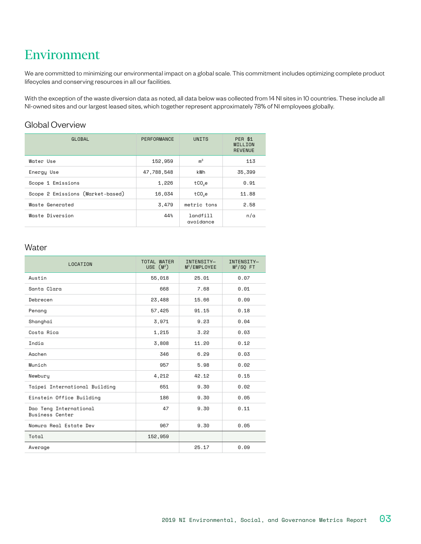## Environment

We are committed to minimizing our environmental impact on a global scale. This commitment includes optimizing complete product lifecycles and conserving resources in all our facilities.

With the exception of the waste diversion data as noted, all data below was collected from 14 NI sites in 10 countries. These include all NI-owned sites and our largest leased sites, which together represent approximately 78% of NI employees globally.

### Global Overview

| GLOBAL                           | PERFORMANCE | <b>UNITS</b>          | <b>PER \$1</b><br>MILLION<br><b>REVENUE</b> |
|----------------------------------|-------------|-----------------------|---------------------------------------------|
| Water Use                        | 152,959     | m <sup>3</sup>        | 113                                         |
| Energy Use                       | 47.788.548  | kWh                   | 35,399                                      |
| Scope 1 Emissions                | 1,226       | tCO <sub>o</sub> e    | 0.91                                        |
| Scope 2 Emissions (Market-based) | 16,034      | tCO <sub>o</sub> e    | 11.88                                       |
| Waste Generated                  | 3.479       | metric tons           | 2.58                                        |
| Waste Diversion                  | 44%         | landfill<br>avoidance | n/a                                         |

#### **Water**

| LOCATION                                         | <b>TOTAL WATER</b><br>USE $(M^3)$ | INTENSITY-<br>M <sup>3</sup> /EMPLOYEE | INTENSITY-<br>$M3/SO$ FT |
|--------------------------------------------------|-----------------------------------|----------------------------------------|--------------------------|
| Austin                                           | 55,018                            | 25.01                                  | 0.07                     |
| Santa Clara                                      | 668                               | 7.68                                   | 0.01                     |
| Debrecen                                         | 23,488                            | 15.66                                  | 0.09                     |
| Penang                                           | 57,425                            | 91.15                                  | 0.18                     |
| Shanghai                                         | 3,971                             | 9.23                                   | 0.04                     |
| Costa Rica                                       | 1,215                             | 3.22                                   | 0.03                     |
| India                                            | 3,808                             | 11.20                                  | 0.12                     |
| Aachen                                           | 346                               | 6.29                                   | 0.03                     |
| Munich                                           | 957                               | 5.98                                   | 0.02                     |
| Newbury                                          | 4,212                             | 42.12                                  | 0.15                     |
| Taipei International Building                    | 651                               | 9.30                                   | 0.02                     |
| Einstein Office Building                         | 186                               | 9.30                                   | 0.05                     |
| Dao Teng International<br><b>Business Center</b> | 47                                | 9.30                                   | 0.11                     |
| Nomura Real Estate Dev                           | 967                               | 9.30                                   | 0.05                     |
| Total                                            | 152,959                           |                                        |                          |
| Average                                          |                                   | 25.17                                  | 0.09                     |